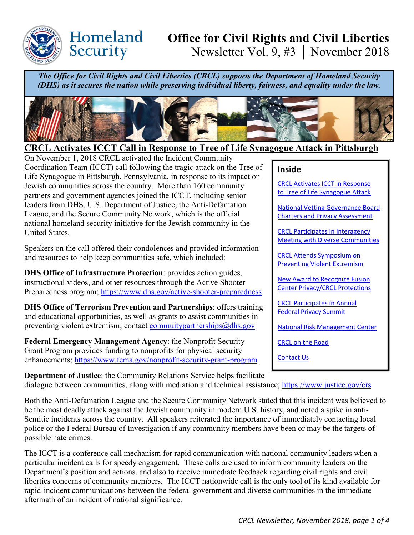

Homeland

Security

# **Office for Civil Rights and Civil Liberties** Newsletter Vol. 9, #3 │ November 2018

*The Office for Civil Rights and Civil Liberties (CRCL) supports the Department of Homeland Security (DHS) as it secures the nation while preserving individual liberty, fairness, and equality under the law.*



# <span id="page-0-0"></span>**CRCL Activates ICCT Call in Response to Tree of Life Synagogue Attack in Pittsburgh**

On November 1, 2018 CRCL activated the Incident Community Coordination Team (ICCT) call following the tragic attack on the Tree of Life Synagogue in Pittsburgh, Pennsylvania, in response to its impact on Jewish communities across the country. More than 160 community partners and government agencies joined the ICCT, including senior leaders from DHS, U.S. Department of Justice, the Anti-Defamation League, and the Secure Community Network, which is the official national homeland security initiative for the Jewish community in the United States.

Speakers on the call offered their condolences and provided information and resources to help keep communities safe, which included:

**DHS Office of Infrastructure Protection**: provides action guides, instructional videos, and other resources through the Active Shooter Preparedness program;<https://www.dhs.gov/active-shooter-preparedness>

**DHS Office of Terrorism Prevention and Partnerships**: offers training and educational opportunities, as well as grants to assist communities in preventing violent extremism; contact commuitypartnerships $@d$ hs.gov

**Federal Emergency Management Agency**: the Nonprofit Security Grant Program provides funding to nonprofits for physical security enhancements;<https://www.fema.gov/nonprofit-security-grant-program>

#### **Inside**

[CRCL Activates ICCT in Response](#page-0-0)  [to Tree of Life Synagogue Attack](#page-0-0) 

[National Vetting Governance](#page-1-0) Board [Charters and Privacy Assessment](#page-1-0)

[CRCL Participates in Interagency](#page-1-1)  [Meeting with Diverse Communities](#page-1-1) 

[CRCL Attends Symposium on](#page-1-2)  **Preventing Violent Extremism** 

[New Award to Recognize Fusion](#page-2-0)  [Center Privacy/CRCL Protections](#page-2-0) 

[CRCL Participates in](#page-2-1) Annual [Federal Privacy Summit](#page-2-1) 

[National Risk Management Center](#page-2-2)

[CRCL on the Road](#page-3-0)

[Contact Us](#page-3-1)

**Department of Justice**: the Community Relations Service helps facilitate dialogue between communities, along with mediation and technical assistance; https://www.justice.gov/crs

Both the Anti-Defamation League and the Secure Community Network stated that this incident was believed to be the most deadly attack against the Jewish community in modern U.S. history, and noted a spike in anti-Semitic incidents across the country. All speakers reiterated the importance of immediately contacting local police or the Federal Bureau of Investigation if any community members have been or may be the targets of possible hate crimes.

The ICCT is a conference call mechanism for rapid communication with national community leaders when a particular incident calls for speedy engagement. These calls are used to inform community leaders on the Department's position and actions, and also to receive immediate feedback regarding civil rights and civil liberties concerns of community members. The ICCT nationwide call is the only tool of its kind available for rapid-incident communications between the federal government and diverse communities in the immediate aftermath of an incident of national significance.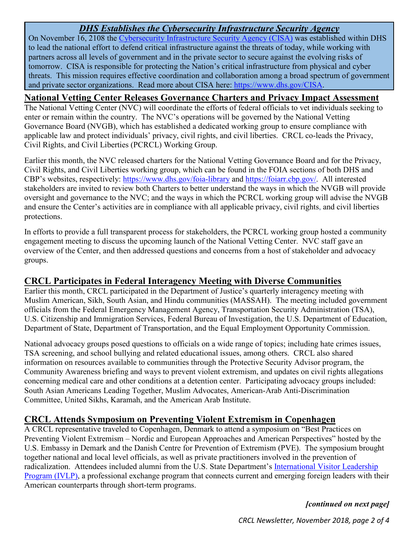## *DHS Establishes the Cybersecurity Infrastructure Security Agency*

On November 16, 2108 the [Cybersecurity Infrastructure Security Agency \(CISA\)](https://www.dhs.gov/CISA) was established within DHS to lead the national effort to defend critical infrastructure against the threats of today, while working with partners across all levels of government and in the private sector to secure against the evolving risks of tomorrow. CISA is responsible for protecting the Nation's critical infrastructure from physical and cyber threats. This mission requires effective coordination and collaboration among a broad spectrum of government and private sector organizations. Read more about CISA here: [https://www.dhs.gov/CISA.](https://www.dhs.gov/CISA)

#### <span id="page-1-0"></span>**National Vetting Center Releases Governance Charters and Privacy Impact Assessment**

The National Vetting Center (NVC) will coordinate the efforts of federal officials to vet individuals seeking to enter or remain within the country. The NVC's operations will be governed by the National Vetting Governance Board (NVGB), which has established a dedicated working group to ensure compliance with applicable law and protect individuals' privacy, civil rights, and civil liberties. CRCL co-leads the Privacy, Civil Rights, and Civil Liberties (PCRCL) Working Group.

Earlier this month, the NVC released charters for the National Vetting Governance Board and for the Privacy, Civil Rights, and Civil Liberties working group, which can be found in the FOIA sections of both DHS and CBP's websites, respectively:<https://www.dhs.gov/foia-library> and [https://foiarr.cbp.gov/.](https://foiarr.cbp.gov/) All interested stakeholders are invited to review both Charters to better understand the ways in which the NVGB will provide oversight and governance to the NVC; and the ways in which the PCRCL working group will advise the NVGB and ensure the Center's activities are in compliance with all applicable privacy, civil rights, and civil liberties protections.

In efforts to provide a full transparent process for stakeholders, the PCRCL working group hosted a community engagement meeting to discuss the upcoming launch of the National Vetting Center. NVC staff gave an overview of the Center, and then addressed questions and concerns from a host of stakeholder and advocacy groups.

#### <span id="page-1-1"></span>**CRCL Participates in Federal Interagency Meeting with Diverse Communities**

Earlier this month, CRCL participated in the Department of Justice's quarterly interagency meeting with Muslim American, Sikh, South Asian, and Hindu communities (MASSAH). The meeting included government officials from the Federal Emergency Management Agency, Transportation Security Administration (TSA), U.S. Citizenship and Immigration Services, Federal Bureau of Investigation, the U.S. Department of Education, Department of State, Department of Transportation, and the Equal Employment Opportunity Commission.

National advocacy groups posed questions to officials on a wide range of topics; including hate crimes issues, TSA screening, and school bullying and related educational issues, among others. CRCL also shared information on resources available to communities through the Protective Security Advisor program, the Community Awareness briefing and ways to prevent violent extremism, and updates on civil rights allegations concerning medical care and other conditions at a detention center. Participating advocacy groups included: South Asian Americans Leading Together, Muslim Advocates, American-Arab Anti-Discrimination Committee, United Sikhs, Karamah, and the American Arab Institute.

## <span id="page-1-2"></span>**CRCL Attends Symposium on Preventing Violent Extremism in Copenhagen**

A CRCL representative traveled to Copenhagen, Denmark to attend a symposium on "Best Practices on Preventing Violent Extremism – Nordic and European Approaches and American Perspectives" hosted by the U.S. Embassy in Demark and the Danish Centre for Prevention of Extremism (PVE). The symposium brought together national and local level officials, as well as private practitioners involved in the prevention of radicalization. Attendees included alumni from the U.S. State Department's [International Visitor Leadership](https://eca.state.gov/ivlp)  [Program \(IVLP\),](https://eca.state.gov/ivlp) a professional exchange program that connects current and emerging foreign leaders with their American counterparts through short-term programs.

*[continued on next page]*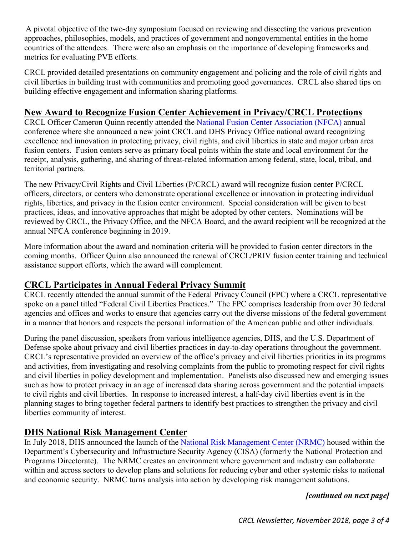A pivotal objective of the two-day symposium focused on reviewing and dissecting the various prevention approaches, philosophies, models, and practices of government and nongovernmental entities in the home countries of the attendees. There were also an emphasis on the importance of developing frameworks and metrics for evaluating PVE efforts.

CRCL provided detailed presentations on community engagement and policing and the role of civil rights and civil liberties in building trust with communities and promoting good governances. CRCL also shared tips on building effective engagement and information sharing platforms.

#### <span id="page-2-0"></span>**New Award to Recognize Fusion Center Achievement in Privacy/CRCL Protections**

CRCL Officer Cameron Quinn recently attended the [National Fusion Center Association \(NFCA\)](https://nfcausa.org/?AspxAutoDetectCookieSupport=1) annual conference where she announced a new joint CRCL and DHS Privacy Office national award recognizing excellence and innovation in protecting privacy, civil rights, and civil liberties in state and major urban area fusion centers. Fusion centers serve as primary focal points within the state and local environment for the receipt, analysis, gathering, and sharing of threat-related information among federal, state, local, tribal, and territorial partners.

The new Privacy/Civil Rights and Civil Liberties (P/CRCL) award will recognize fusion center P/CRCL officers, directors, or centers who demonstrate operational excellence or innovation in protecting individual rights, liberties, and privacy in the fusion center environment. Special consideration will be given to best practices, ideas, and innovative approaches that might be adopted by other centers. Nominations will be reviewed by CRCL, the Privacy Office, and the NFCA Board, and the award recipient will be recognized at the annual NFCA conference beginning in 2019.

More information about the award and nomination criteria will be provided to fusion center directors in the coming months. Officer Quinn also announced the renewal of CRCL/PRIV fusion center training and technical assistance support efforts, which the award will complement.

#### <span id="page-2-1"></span>**CRCL Participates in Annual Federal Privacy Summit**

CRCL recently attended the annual summit of the Federal Privacy Council (FPC) where a CRCL representative spoke on a panel titled "Federal Civil Liberties Practices." The FPC comprises leadership from over 30 federal agencies and offices and works to ensure that agencies carry out the diverse missions of the federal government in a manner that honors and respects the personal information of the American public and other individuals.

During the panel discussion, speakers from various intelligence agencies, DHS, and the U.S. Department of Defense spoke about privacy and civil liberties practices in day-to-day operations throughout the government. CRCL's representative provided an overview of the office's privacy and civil liberties priorities in its programs and activities, from investigating and resolving complaints from the public to promoting respect for civil rights and civil liberties in policy development and implementation. Panelists also discussed new and emerging issues such as how to protect privacy in an age of increased data sharing across government and the potential impacts to civil rights and civil liberties. In response to increased interest, a half-day civil liberties event is in the planning stages to bring together federal partners to identify best practices to strengthen the privacy and civil liberties community of interest.

## <span id="page-2-2"></span>**DHS National Risk Management Center**

In July 2018, DHS announced the launch of the [National Risk Management Center](https://www.dhs.gov/national-risk-management-center) (NRMC) housed within the Department's Cybersecurity and Infrastructure Security Agency (CISA) (formerly the National Protection and Programs Directorate). The NRMC creates an environment where government and industry can collaborate within and across sectors to develop plans and solutions for reducing cyber and other systemic risks to national and economic security. NRMC turns analysis into action by developing risk management solutions.

#### *[continued on next page]*